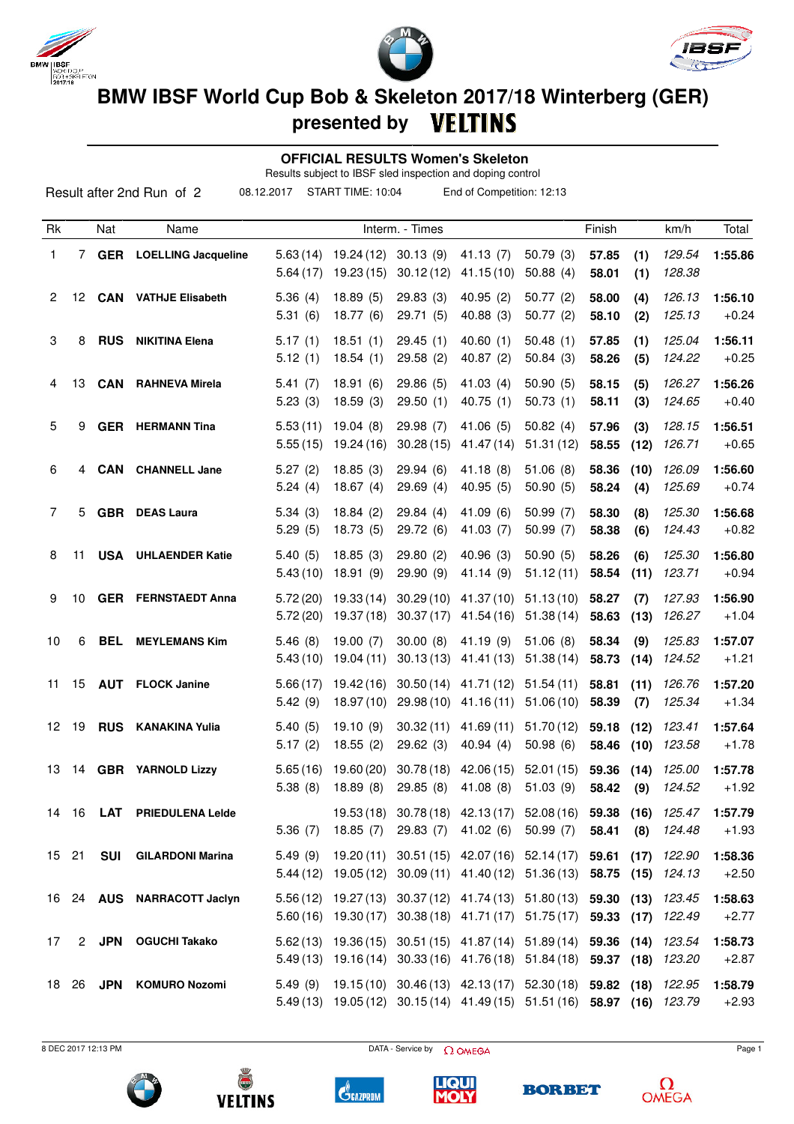





**presented by**

### **OFFICIAL RESULTS Women's Skeleton**

Results subject to IBSF sled inspection and doping control

|    |       |            | Result after 2nd Run of 2  | 08.12.2017           | START TIME: 10:04       |                        | End of Competition: 12:13                                                                                                                        |                        |                         |              |                  |                    |
|----|-------|------------|----------------------------|----------------------|-------------------------|------------------------|--------------------------------------------------------------------------------------------------------------------------------------------------|------------------------|-------------------------|--------------|------------------|--------------------|
| Rk |       | Nat        | Name                       |                      |                         | Interm. - Times        |                                                                                                                                                  |                        | Finish                  |              | km/h             | Total              |
| 1  | 7     | <b>GER</b> | <b>LOELLING Jacqueline</b> | 5.63(14)<br>5.64(17) | 19.24 (12)<br>19.23(15) | 30.13(9)<br>30.12(12)  | 41.13(7)<br>41.15(10)                                                                                                                            | 50.79(3)<br>50.88(4)   | 57.85<br>58.01          | (1)<br>(1)   | 129.54<br>128.38 | 1:55.86            |
| 2  | 12    | <b>CAN</b> | <b>VATHJE Elisabeth</b>    | 5.36(4)<br>5.31(6)   | 18.89(5)<br>18.77(6)    | 29.83(3)<br>29.71 (5)  | 40.95(2)<br>40.88 (3)                                                                                                                            | 50.77(2)<br>50.77(2)   | 58.00<br>58.10          | (4)<br>(2)   | 126.13<br>125.13 | 1:56.10<br>$+0.24$ |
| 3  | 8     | <b>RUS</b> | <b>NIKITINA Elena</b>      | 5.17(1)<br>5.12(1)   | 18.51(1)<br>18.54(1)    | 29.45(1)<br>29.58(2)   | 40.60(1)<br>40.87(2)                                                                                                                             | 50.48(1)<br>50.84(3)   | 57.85<br>58.26          | (1)<br>(5)   | 125.04<br>124.22 | 1:56.11<br>$+0.25$ |
| 4  | 13    | <b>CAN</b> | <b>RAHNEVA Mirela</b>      | 5.41(7)<br>5.23(3)   | 18.91(6)<br>18.59(3)    | 29.86(5)<br>29.50(1)   | 41.03 (4)<br>40.75(1)                                                                                                                            | 50.90(5)<br>50.73(1)   | 58.15<br>58.11          | (5)<br>(3)   | 126.27<br>124.65 | 1:56.26<br>$+0.40$ |
| 5  | 9     |            | <b>GER</b> HERMANN Tina    | 5.53(11)<br>5.55(15) | 19.04(8)<br>19.24 (16)  | 29.98 (7)<br>30.28(15) | 41.06 (5)<br>41.47 (14)                                                                                                                          | 50.82(4)<br>51.31(12)  | 57.96<br>58.55          | (3)<br>(12)  | 128.15<br>126.71 | 1:56.51<br>$+0.65$ |
| 6  | 4     | CAN        | <b>CHANNELL Jane</b>       | 5.27(2)<br>5.24(4)   | 18.85(3)<br>18.67(4)    | 29.94(6)<br>29.69(4)   | 41.18(8)<br>40.95(5)                                                                                                                             | 51.06(8)<br>50.90(5)   | 58.36<br>58.24          | (10)<br>(4)  | 126.09<br>125.69 | 1:56.60<br>$+0.74$ |
| 7  | 5     |            | <b>GBR</b> DEAS Laura      | 5.34(3)<br>5.29(5)   | 18.84(2)<br>18.73 (5)   | 29.84(4)<br>29.72 (6)  | 41.09 (6)<br>41.03(7)                                                                                                                            | 50.99(7)<br>50.99(7)   | 58.30<br>58.38          | (8)<br>(6)   | 125.30<br>124.43 | 1:56.68<br>$+0.82$ |
| 8  | 11    | <b>USA</b> | <b>UHLAENDER Katie</b>     | 5.40(5)<br>5.43(10)  | 18.85(3)<br>18.91 (9)   | 29.80(2)<br>29.90(9)   | 40.96 (3)<br>41.14 (9)                                                                                                                           | 50.90(5)<br>51.12(11)  | 58.26<br>58.54          | (6)<br>(11)  | 125.30<br>123.71 | 1:56.80<br>$+0.94$ |
| 9  | 10    |            | <b>GER FERNSTAEDT Anna</b> | 5.72(20)<br>5.72(20) | 19.33(14)<br>19.37 (18) | 30.29(10)<br>30.37(17) | 41.37 (10)<br>41.54 (16)                                                                                                                         | 51.13(10)<br>51.38(14) | 58.27<br>58.63          | (7)<br>(13)  | 127.93<br>126.27 | 1:56.90<br>$+1.04$ |
| 10 | 6     | <b>BEL</b> | <b>MEYLEMANS Kim</b>       | 5.46(8)<br>5.43(10)  | 19.00(7)<br>19.04 (11)  | 30.00(8)<br>30.13(13)  | 41.19(9)<br>41.41 (13)                                                                                                                           | 51.06(8)<br>51.38(14)  | 58.34<br>58.73          | (9)<br>(14)  | 125.83<br>124.52 | 1:57.07<br>$+1.21$ |
| 11 | 15    |            | <b>AUT</b> FLOCK Janine    | 5.66(17)<br>5.42(9)  | 19.42(16)<br>18.97(10)  | 30.50(14)<br>29.98(10) | 41.71 (12)<br>41.16 (11)                                                                                                                         | 51.54(11)<br>51.06(10) | 58.81<br>58.39          | (11)<br>(7)  | 126.76<br>125.34 | 1:57.20<br>$+1.34$ |
| 12 | 19    | <b>RUS</b> | <b>KANAKINA Yulia</b>      | 5.40(5)<br>5.17(2)   | 19.10(9)<br>18.55(2)    | 30.32(11)<br>29.62(3)  | 41.69(11)<br>40.94(4)                                                                                                                            | 51.70(12)<br>50.98(6)  | 59.18<br>58.46          | (12)<br>(10) | 123.41<br>123.58 | 1:57.64<br>$+1.78$ |
| 13 | 14    | <b>GBR</b> | <b>YARNOLD Lizzy</b>       | 5.38(8)              | $5.65(16)$ 19.60 (20)   |                        | 30.78 (18) 42.06 (15) 52.01 (15)<br>18.89 (8) 29.85 (8) 41.08 (8) 51.03 (9)                                                                      |                        | 59.36 (14)<br>58.42 (9) |              | 125.00<br>124.52 | 1:57.78<br>+1.92   |
|    | 14 16 |            | LAT PRIEDULENA Leide       | 5.36(7)              | 18.85(7)                |                        | 19.53 (18) 30.78 (18) 42.13 (17) 52.08 (16) 59.38<br>29.83 (7) 41.02 (6)                                                                         | 50.99(7)               | 58.41                   | (16)<br>(8)  | 125.47<br>124.48 | 1:57.79<br>$+1.93$ |
|    | 15 21 | SUI        | <b>GILARDONI Marina</b>    | 5.49(9)              |                         |                        | 19.20 (11) 30.51 (15) 42.07 (16) 52.14 (17) 59.61 (17)<br>5.44 (12) 19.05 (12) 30.09 (11) 41.40 (12) 51.36 (13) 58.75 (15) 124.13                |                        |                         |              | 122.90           | 1:58.36<br>$+2.50$ |
|    |       |            | 16 24 AUS NARRACOTT Jaclyn |                      |                         |                        | 5.56 (12) 19.27 (13) 30.37 (12) 41.74 (13) 51.80 (13) 59.30 (13)<br>5.60 (16) 19.30 (17) 30.38 (18) 41.71 (17) 51.75 (17) 59.33 (17) 122.49      |                        |                         |              | 123.45           | 1:58.63<br>$+2.77$ |
| 17 |       |            | 2 JPN OGUCHI Takako        |                      |                         |                        | $5.62(13)$ $19.36(15)$ $30.51(15)$ $41.87(14)$ $51.89(14)$ <b>59.36 (14)</b><br>5.49 (13) 19.16 (14) 30.33 (16) 41.76 (18) 51.84 (18) 59.37 (18) |                        |                         |              | 123.54<br>123.20 | 1:58.73<br>$+2.87$ |
|    | 18 26 |            | JPN KOMURO Nozomi          |                      |                         |                        | 5.49 (9) 19.15 (10) 30.46 (13) 42.13 (17) 52.30 (18) 59.82 (18)<br>5.49 (13) 19.05 (12) 30.15 (14) 41.49 (15) 51.51 (16) 58.97 (16)              |                        |                         |              | 122.95<br>123.79 | 1:58.79<br>$+2.93$ |

 $B$  DEC 2017 12:13 PM Page 1











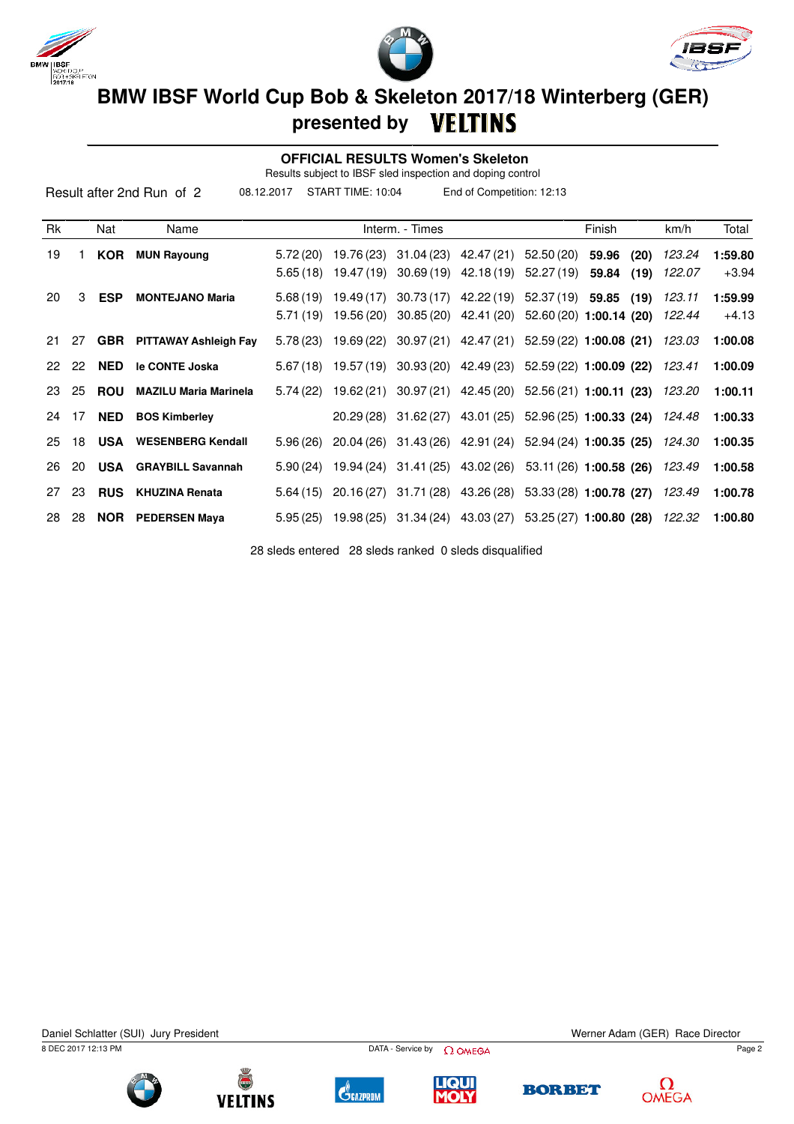





### **OFFICIAL RESULTS Women's Skeleton**

Results subject to IBSF sled inspection and doping control

|    | START TIME: 10:04<br>08.12.2017<br>End of Competition: 12:13<br>Result after 2nd Run of 2 |            |                                  |           |            |                 |                                                          |                          |        |      |        |         |
|----|-------------------------------------------------------------------------------------------|------------|----------------------------------|-----------|------------|-----------------|----------------------------------------------------------|--------------------------|--------|------|--------|---------|
| Rk |                                                                                           | Nat        | Name                             |           |            | Interm. - Times |                                                          |                          | Finish |      | km/h   | Total   |
| 19 |                                                                                           | <b>KOR</b> | <b>MUN Rayoung</b>               | 5.72(20)  | 19.76 (23) |                 | $31.04(23)$ 42.47 (21)                                   | 52.50 (20)               | 59.96  | (20) | 123.24 | 1:59.80 |
|    |                                                                                           |            |                                  | 5.65(18)  | 19.47 (19) |                 | $30.69(19)$ 42.18(19)                                    | 52.27 (19)               | 59.84  | (19) | 122.07 | $+3.94$ |
| 20 | 3                                                                                         | <b>ESP</b> | <b>MONTEJANO Maria</b>           | 5.68(19)  | 19.49 (17) |                 | 30.73 (17) 42.22 (19) 52.37 (19) 59.85                   |                          |        | (19) | 123.11 | 1:59.99 |
|    |                                                                                           |            |                                  | 5.71 (19) | 19.56 (20) |                 | $30.85(20)$ 42.41 (20)                                   | $52.60(20)$ 1:00.14 (20) |        |      | 122.44 | $+4.13$ |
| 21 | 27                                                                                        |            | <b>GBR</b> PITTAWAY Ashleigh Fay | 5.78(23)  |            |                 | 19.69 (22) 30.97 (21) 42.47 (21) 52.59 (22) 1:00.08 (21) |                          |        |      | 123.03 | 1:00.08 |
| 22 | 22                                                                                        | NED        | le CONTE Joska                   | 5.67(18)  |            |                 | 19.57 (19) 30.93 (20) 42.49 (23) 52.59 (22) 1:00.09 (22) |                          |        |      | 123.41 | 1:00.09 |
| 23 | 25                                                                                        | <b>ROU</b> | <b>MAZILU Maria Marinela</b>     | 5.74(22)  | 19.62 (21) |                 | $30.97(21)$ 42.45 (20) 52.56 (21) 1:00.11 (23)           |                          |        |      | 123.20 | 1:00.11 |
| 24 | 17                                                                                        | <b>NED</b> | <b>BOS Kimberley</b>             |           |            |                 | 20.29 (28) 31.62 (27) 43.01 (25) 52.96 (25) 1:00.33 (24) |                          |        |      | 124.48 | 1:00.33 |
| 25 | 18                                                                                        | USA        | <b>WESENBERG Kendall</b>         | 5.96(26)  |            |                 | 20.04 (26) 31.43 (26) 42.91 (24) 52.94 (24) 1:00.35 (25) |                          |        |      | 124.30 | 1:00.35 |
| 26 | 20                                                                                        |            | <b>USA</b> GRAYBILL Savannah     | 5.90(24)  |            |                 | 19.94 (24) 31.41 (25) 43.02 (26) 53.11 (26) 1:00.58 (26) |                          |        |      | 123.49 | 1:00.58 |
| 27 | 23                                                                                        | <b>RUS</b> | <b>KHUZINA Renata</b>            | 5.64(15)  |            |                 | 20.16 (27) 31.71 (28) 43.26 (28) 53.33 (28) 1:00.78 (27) |                          |        |      | 123.49 | 1:00.78 |
| 28 | 28                                                                                        |            | <b>NOR</b> PEDERSEN Maya         | 5.95(25)  |            |                 | 19.98 (25) 31.34 (24) 43.03 (27) 53.25 (27) 1:00.80 (28) |                          |        |      | 122.32 | 1:00.80 |

28 sleds entered 28 sleds ranked 0 sleds disqualified

Daniel Schlatter (SUI) Jury President Werner Adam (GER) Race Director

8 DEC 2017 12:13 PM Page 2











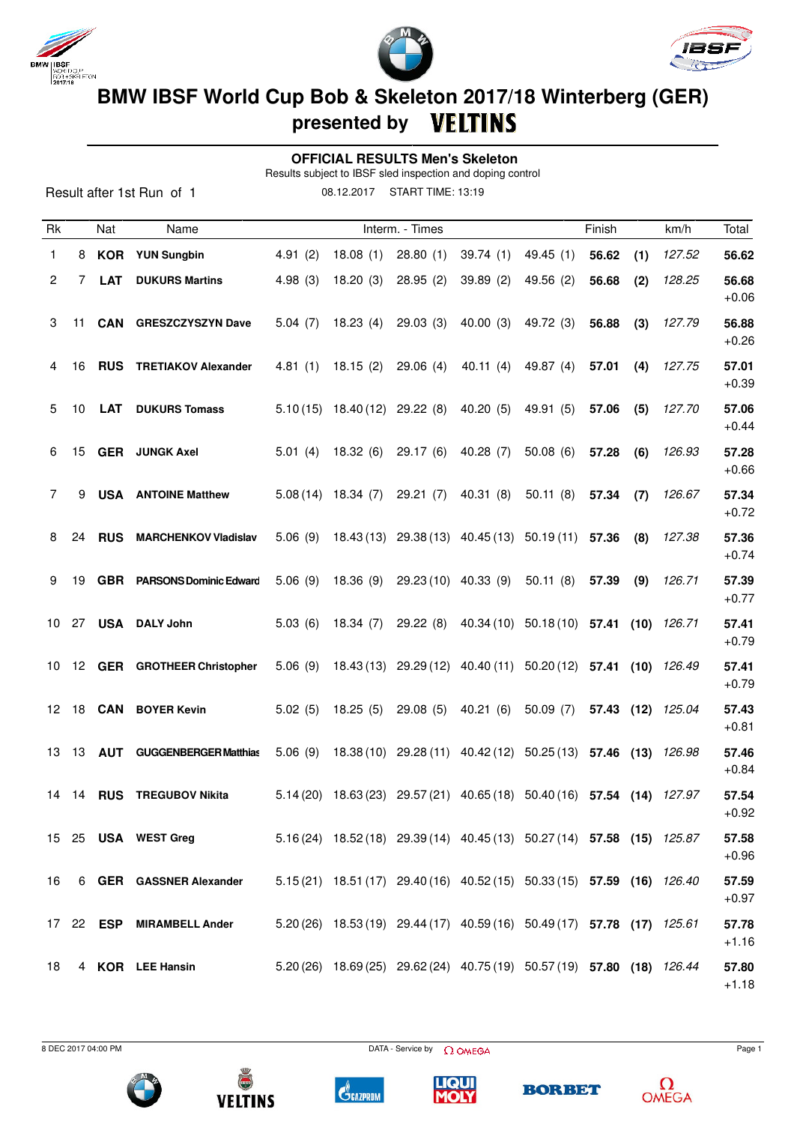





### **OFFICIAL RESULTS Men's Skeleton**

Results subject to IBSF sled inspection and doping control

Result after 1st Run of 1

08.12.2017 START TIME: 13:19

| Rk |    | Nat              | Name                              |         |                      | Interm. - Times                          |                                                                         |             | Finish |     | km/h              | Total            |
|----|----|------------------|-----------------------------------|---------|----------------------|------------------------------------------|-------------------------------------------------------------------------|-------------|--------|-----|-------------------|------------------|
| 1  |    |                  | 8 KOR YUN Sungbin                 | 4.91(2) | 18.08(1)             | 28.80(1)                                 | 39.74(1)                                                                | 49.45(1)    | 56.62  | (1) | 127.52            | 56.62            |
| 2  | 7  | <b>LAT</b>       | <b>DUKURS Martins</b>             | 4.98(3) | 18.20(3)             | 28.95(2)                                 | 39.89(2)                                                                | 49.56(2)    | 56.68  | (2) | 128.25            | 56.68<br>$+0.06$ |
| 3  | 11 |                  | <b>CAN GRESZCZYSZYN Dave</b>      | 5.04(7) | 18.23(4)             | 29.03(3)                                 | 40.00(3)                                                                | 49.72 (3)   | 56.88  | (3) | 127.79            | 56.88<br>$+0.26$ |
| 4  | 16 |                  | <b>RUS TRETIAKOV Alexander</b>    |         | $4.81(1)$ $18.15(2)$ | 29.06 (4)                                | 40.11 (4)                                                               | 49.87 $(4)$ | 57.01  | (4) | 127.75            | 57.01<br>$+0.39$ |
| 5  | 10 |                  | <b>LAT</b> DUKURS Tomass          |         |                      | $5.10(15)$ 18.40(12) 29.22(8) 40.20(5)   |                                                                         | 49.91 (5)   | 57.06  | (5) | 127.70            | 57.06<br>$+0.44$ |
| 6  | 15 |                  | <b>GER</b> JUNGK Axel             | 5.01(4) | 18.32(6)             | 29.17 (6)                                | 40.28(7)                                                                | 50.08(6)    | 57.28  | (6) | 126.93            | 57.28<br>$+0.66$ |
| 7  |    |                  | 9 USA ANTOINE Matthew             |         |                      | $5.08(14)$ 18.34 (7) 29.21 (7) 40.31 (8) |                                                                         | 50.11(8)    | 57.34  | (7) | 126.67            | 57.34<br>$+0.72$ |
| 8  | 24 |                  | <b>RUS MARCHENKOV Vladislav</b>   |         |                      |                                          | 5.06 (9) 18.43 (13) 29.38 (13) 40.45 (13) 50.19 (11) 57.36              |             |        | (8) | 127.38            | 57.36<br>$+0.74$ |
| 9  | 19 |                  | <b>GBR</b> PARSONS Dominic Edward | 5.06(9) | 18.36 (9)            | 29.23 (10) 40.33 (9)                     |                                                                         | 50.11(8)    | 57.39  | (9) | 126.71            | 57.39<br>$+0.77$ |
|    |    |                  | 10 27 USA DALY John               | 5.03(6) | 18.34 (7)            |                                          | 29.22 (8) 40.34 (10) 50.18 (10) 57.41 (10) 126.71                       |             |        |     |                   | 57.41<br>$+0.79$ |
| 10 |    |                  | 12 GER GROTHEER Christopher       |         |                      |                                          | 5.06 (9) 18.43 (13) 29.29 (12) 40.40 (11) 50.20 (12) 57.41 (10) 126.49  |             |        |     |                   | 57.41<br>$+0.79$ |
|    |    |                  | 12 18 CAN BOYER Kevin             | 5.02(5) | 18.25 (5)            | 29.08(5)                                 | 40.21(6)                                                                | 50.09(7)    |        |     | 57.43 (12) 125.04 | 57.43<br>$+0.81$ |
|    |    |                  | 13 13 AUT GUGGENBERGER Matthias   |         |                      |                                          | 5.06 (9) 18.38 (10) 29.28 (11) 40.42 (12) 50.25 (13) 57.46 (13) 126.98  |             |        |     |                   | 57.46<br>$+0.84$ |
| 14 |    |                  | 14 RUS TREGUBOV Nikita            |         |                      |                                          | 5.14 (20) 18.63 (23) 29.57 (21) 40.65 (18) 50.40 (16) 57.54 (14) 127.97 |             |        |     |                   | 57.54<br>$+0.92$ |
|    |    |                  | 15 25 USA WEST Greg               |         |                      |                                          | 5.16 (24) 18.52 (18) 29.39 (14) 40.45 (13) 50.27 (14) 57.58 (15) 125.87 |             |        |     |                   | 57.58<br>$+0.96$ |
| 16 |    |                  | 6 GER GASSNER Alexander           |         |                      |                                          | 5.15(21) 18.51(17) 29.40(16) 40.52(15) 50.33(15) 57.59 (16) 126.40      |             |        |     |                   | 57.59<br>$+0.97$ |
|    |    | 17 22 <b>ESP</b> | <b>MIRAMBELL Ander</b>            |         |                      |                                          | 5.20 (26) 18.53 (19) 29.44 (17) 40.59 (16) 50.49 (17) 57.78 (17) 125.61 |             |        |     |                   | 57.78<br>$+1.16$ |
| 18 |    |                  | 4 KOR LEE Hansin                  |         |                      |                                          | 5.20 (26) 18.69 (25) 29.62 (24) 40.75 (19) 50.57 (19) 57.80 (18) 126.44 |             |        |     |                   | 57.80<br>$+1.18$ |

 $B$  DEC 2017 04:00 PM Page 1











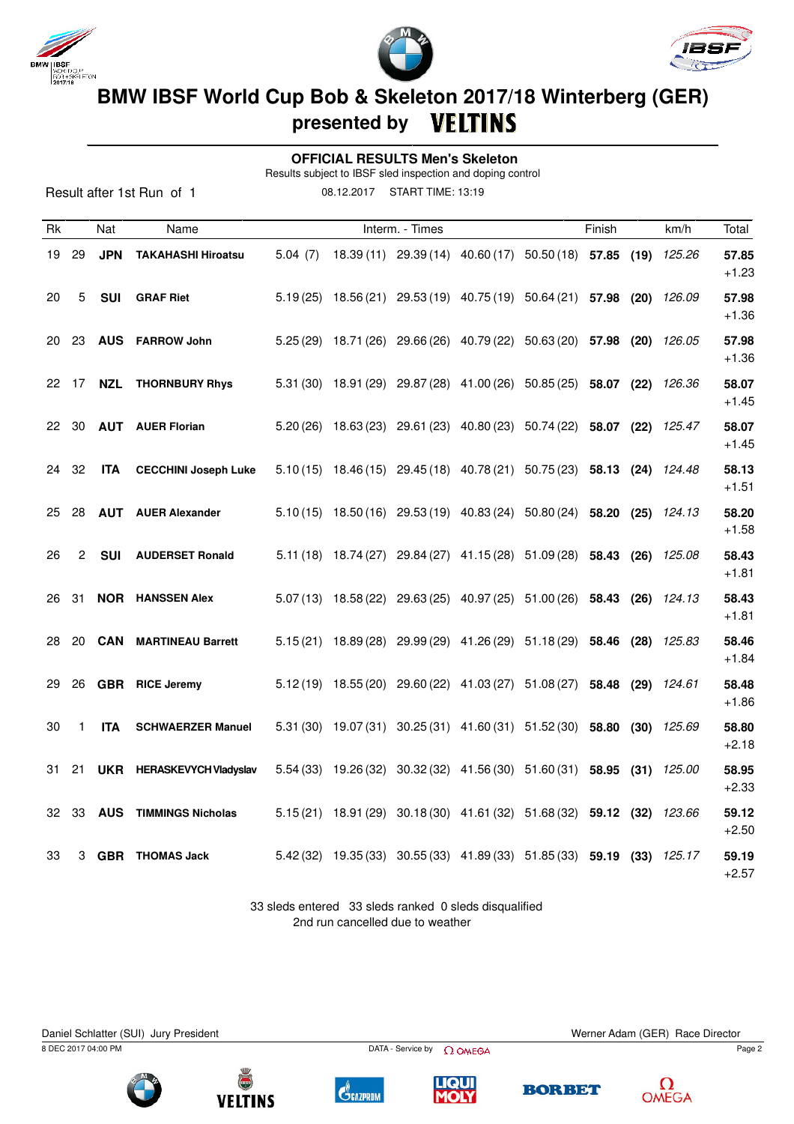

Result after 1st Run of 1





## **BMW IBSF World Cup Bob & Skeleton 2017/18 Winterberg (GER) presented by**

### **OFFICIAL RESULTS Men's Skeleton**

Results subject to IBSF sled inspection and doping control

08.12.2017 START TIME: 13:19

| Rk  |       | Nat        | Name                         |         | Interm. - Times |                                                                              | Finish | km/h   | Total            |
|-----|-------|------------|------------------------------|---------|-----------------|------------------------------------------------------------------------------|--------|--------|------------------|
| 19  | 29    | <b>JPN</b> | <b>TAKAHASHI Hiroatsu</b>    | 5.04(7) |                 | 18.39 (11) 29.39 (14) 40.60 (17) 50.50 (18) 57.85 (19)                       |        | 125.26 | 57.85<br>$+1.23$ |
| 20  | 5     | <b>SUI</b> | <b>GRAF Riet</b>             |         |                 | 5.19 (25) 18.56 (21) 29.53 (19) 40.75 (19) 50.64 (21) 57.98 (20)             |        | 126.09 | 57.98<br>$+1.36$ |
| 20  | 23    |            | <b>AUS</b> FARROW John       |         |                 | 5.25 (29) 18.71 (26) 29.66 (26) 40.79 (22) 50.63 (20) 57.98 (20) 126.05      |        |        | 57.98<br>$+1.36$ |
|     | 22 17 | NZL        | <b>THORNBURY Rhys</b>        |         |                 | 5.31 (30) 18.91 (29) 29.87 (28) 41.00 (26) 50.85 (25) 58.07 (22)             |        | 126.36 | 58.07<br>$+1.45$ |
|     | 22 30 |            | <b>AUT</b> AUER Florian      |         |                 | $5.20(26)$ 18.63 (23) 29.61 (23) 40.80 (23) 50.74 (22) 58.07 (22)            |        | 125.47 | 58.07<br>$+1.45$ |
|     | 24 32 | <b>ITA</b> | <b>CECCHINI Joseph Luke</b>  |         |                 | 5.10 (15) 18.46 (15) 29.45 (18) 40.78 (21) 50.75 (23) 58.13 (24) 124.48      |        |        | 58.13<br>$+1.51$ |
| 25  | 28    | <b>AUT</b> | <b>AUER Alexander</b>        |         |                 | 5.10 (15) 18.50 (16) 29.53 (19) 40.83 (24) 50.80 (24) 58.20 (25)             |        | 124.13 | 58.20<br>$+1.58$ |
| 26  | 2     | <b>SUI</b> | <b>AUDERSET Ronald</b>       |         |                 | 5.11 (18) 18.74 (27) 29.84 (27) 41.15 (28) 51.09 (28) 58.43 (26) 125.08      |        |        | 58.43<br>$+1.81$ |
| 26  | 31    |            | <b>NOR</b> HANSSEN Alex      |         |                 | 5.07(13) 18.58(22) 29.63(25) 40.97(25) 51.00(26) 58.43 (26) 124.13           |        |        | 58.43<br>$+1.81$ |
| 28. | 20    |            | <b>CAN</b> MARTINEAU Barrett |         |                 | $5.15(21)$ $18.89(28)$ $29.99(29)$ $41.26(29)$ $51.18(29)$ <b>58.46 (28)</b> |        | 125.83 | 58.46<br>$+1.84$ |
| 29  | 26    | <b>GBR</b> | <b>RICE Jeremy</b>           |         |                 | 5.12(19) 18.55(20) 29.60(22) 41.03(27) 51.08(27) 58.48 (29) 124.61           |        |        | 58.48<br>$+1.86$ |
| 30  | 1     | <b>ITA</b> | <b>SCHWAERZER Manuel</b>     |         |                 | 5.31 (30) 19.07 (31) 30.25 (31) 41.60 (31) 51.52 (30) 58.80 (30)             |        | 125.69 | 58.80<br>$+2.18$ |
| 31. | 21    |            | UKR HERASKEVYCH Vladyslav    |         |                 | 5.54 (33) 19.26 (32) 30.32 (32) 41.56 (30) 51.60 (31) 58.95 (31) 125.00      |        |        | 58.95<br>$+2.33$ |
| 32  | 33    | <b>AUS</b> | <b>TIMMINGS Nicholas</b>     |         |                 | 5.15 (21) 18.91 (29) 30.18 (30) 41.61 (32) 51.68 (32) 59.12 (32)             |        | 123.66 | 59.12<br>$+2.50$ |
| 33  | 3     |            | <b>GBR</b> THOMAS Jack       |         |                 | 5.42 (32) 19.35 (33) 30.55 (33) 41.89 (33) 51.85 (33) 59.19 (33)             |        | 125.17 | 59.19<br>$+2.57$ |

33 sleds entered 33 sleds ranked 0 sleds disqualified 2nd run cancelled due to weather











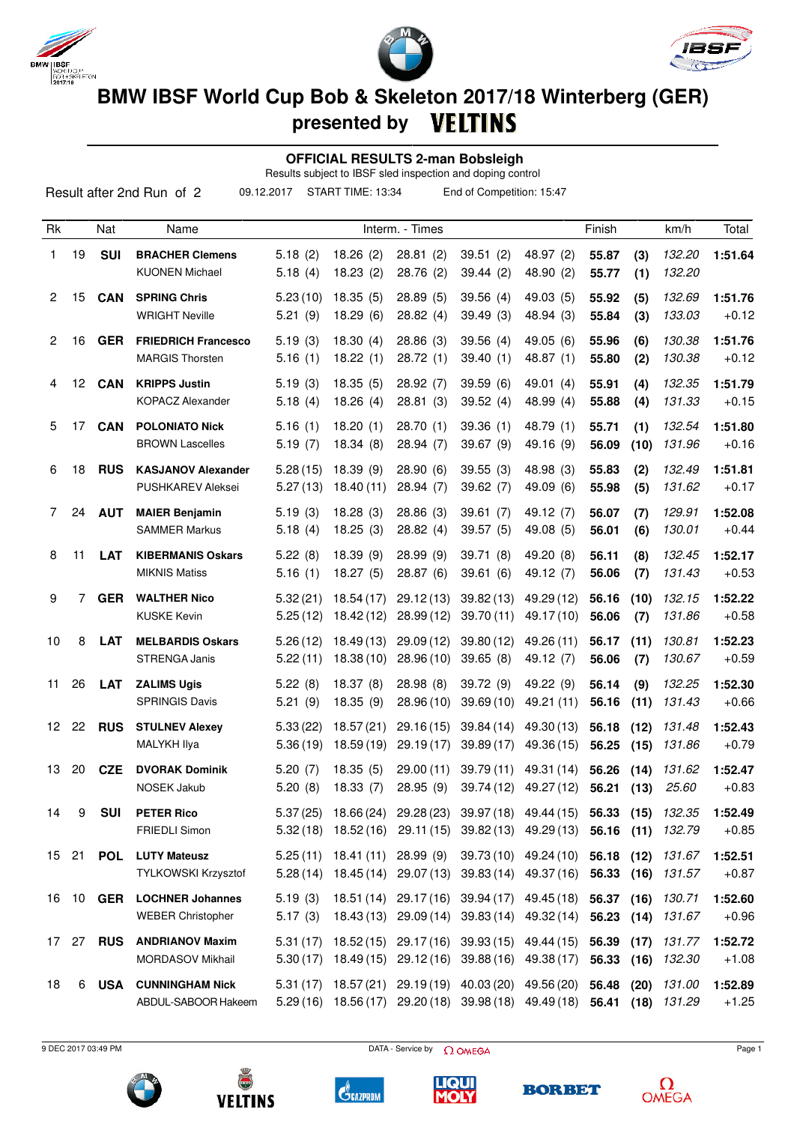





**presented by**

 **OFFICIAL RESULTS 2-man Bobsleigh**

Results subject to IBSF sled inspection and doping control

|                |       |                  | Result after 2nd Run of 2                            | 09.12.2017           | START TIME: 13:34      |                                                | End of Competition: 15:47                                                                                             |                                  |                          |              |                  |                    |
|----------------|-------|------------------|------------------------------------------------------|----------------------|------------------------|------------------------------------------------|-----------------------------------------------------------------------------------------------------------------------|----------------------------------|--------------------------|--------------|------------------|--------------------|
| Rk             |       | Nat              | Name                                                 |                      |                        | Interm. - Times                                |                                                                                                                       |                                  | Finish                   |              | km/h             | Total              |
| 1              | 19    | <b>SUI</b>       | <b>BRACHER Clemens</b><br><b>KUONEN Michael</b>      | 5.18(2)<br>5.18(4)   | 18.26(2)<br>18.23(2)   | 28.81(2)<br>28.76 (2)                          | 39.51(2)<br>39.44(2)                                                                                                  | 48.97 (2)<br>48.90 (2)           | 55.87<br>55.77           | (3)<br>(1)   | 132.20<br>132.20 | 1:51.64            |
| $\overline{2}$ | 15    | <b>CAN</b>       | <b>SPRING Chris</b><br><b>WRIGHT Neville</b>         | 5.23(10)<br>5.21(9)  | 18.35(5)<br>18.29(6)   | 28.89(5)<br>28.82(4)                           | 39.56(4)<br>39.49(3)                                                                                                  | 49.03 (5)<br>48.94 (3)           | 55.92<br>55.84           | (5)<br>(3)   | 132.69<br>133.03 | 1:51.76<br>$+0.12$ |
| $\overline{2}$ | 16    | <b>GER</b>       | <b>FRIEDRICH Francesco</b><br><b>MARGIS Thorsten</b> | 5.19(3)<br>5.16(1)   | 18.30(4)<br>18.22(1)   | 28.86(3)<br>28.72(1)                           | 39.56(4)<br>39.40(1)                                                                                                  | 49.05 (6)<br>48.87 (1)           | 55.96<br>55.80           | (6)<br>(2)   | 130.38<br>130.38 | 1:51.76<br>$+0.12$ |
| 4              | 12    | <b>CAN</b>       | <b>KRIPPS Justin</b><br><b>KOPACZ Alexander</b>      | 5.19(3)<br>5.18(4)   | 18.35(5)<br>18.26(4)   | 28.92(7)<br>28.81(3)                           | 39.59(6)<br>39.52(4)                                                                                                  | 49.01 $(4)$<br>48.99 (4)         | 55.91<br>55.88           | (4)<br>(4)   | 132.35<br>131.33 | 1:51.79<br>$+0.15$ |
| 5              | 17    | <b>CAN</b>       | <b>POLONIATO Nick</b><br><b>BROWN Lascelles</b>      | 5.16(1)<br>5.19(7)   | 18.20(1)<br>18.34(8)   | 28.70(1)<br>28.94 (7)                          | 39.36(1)<br>39.67 (9)                                                                                                 | 48.79 (1)<br>49.16 (9)           | 55.71<br>56.09           | (1)<br>(10)  | 132.54<br>131.96 | 1:51.80<br>$+0.16$ |
| 6              | 18    | <b>RUS</b>       | <b>KASJANOV Alexander</b><br>PUSHKAREV Aleksei       | 5.28(15)<br>5.27(13) | 18.39(9)<br>18.40(11)  | 28.90(6)<br>28.94(7)                           | 39.55(3)<br>39.62(7)                                                                                                  | 48.98 (3)<br>49.09 (6)           | 55.83<br>55.98           | (2)<br>(5)   | 132.49<br>131.62 | 1:51.81<br>$+0.17$ |
| 7              | 24    | <b>AUT</b>       | <b>MAIER Benjamin</b><br><b>SAMMER Markus</b>        | 5.19(3)<br>5.18(4)   | 18.28(3)<br>18.25(3)   | 28.86(3)<br>28.82(4)                           | 39.61(7)<br>39.57(5)                                                                                                  | 49.12 (7)<br>49.08 (5)           | 56.07<br>56.01           | (7)<br>(6)   | 129.91<br>130.01 | 1:52.08<br>$+0.44$ |
| 8              | 11    | <b>LAT</b>       | <b>KIBERMANIS Oskars</b><br><b>MIKNIS Matiss</b>     | 5.22(8)<br>5.16(1)   | 18.39(9)<br>18.27(5)   | 28.99(9)<br>28.87(6)                           | 39.71(8)<br>39.61(6)                                                                                                  | 49.20 (8)<br>49.12 (7)           | 56.11<br>56.06           | (8)<br>(7)   | 132.45<br>131.43 | 1:52.17<br>$+0.53$ |
| 9              | 7     | <b>GER</b>       | <b>WALTHER Nico</b><br><b>KUSKE Kevin</b>            | 5.32(21)<br>5.25(12) | 18.54(17)<br>18.42(12) | 29.12(13)<br>28.99(12)                         | 39.82(13)<br>39.70(11)                                                                                                | 49.29 (12)<br>49.17(10)          | 56.16<br>56.06           | (10)<br>(7)  | 132.15<br>131.86 | 1:52.22<br>$+0.58$ |
| 10             | 8     | <b>LAT</b>       | <b>MELBARDIS Oskars</b><br>STRENGA Janis             | 5.26(12)<br>5.22(11) | 18.49(13)<br>18.38(10) | 29.09(12)<br>28.96 (10)                        | 39.80(12)<br>39.65(8)                                                                                                 | 49.26 (11)<br>49.12 (7)          | 56.17<br>56.06           | (11)<br>(7)  | 130.81<br>130.67 | 1:52.23<br>$+0.59$ |
| 11             | 26    | <b>LAT</b>       | <b>ZALIMS Ugis</b><br><b>SPRINGIS Davis</b>          | 5.22(8)<br>5.21(9)   | 18.37(8)<br>18.35 (9)  | 28.98(8)<br>28.96 (10)                         | 39.72 (9)<br>39.69(10)                                                                                                | 49.22 (9)<br>49.21 (11)          | 56.14<br>56.16           | (9)<br>(11)  | 132.25<br>131.43 | 1:52.30<br>$+0.66$ |
| 12             | 22    | <b>RUS</b>       | <b>STULNEV Alexey</b><br>MALYKH Ilya                 | 5.33(22)<br>5.36(19) | 18.57(21)<br>18.59(19) | 29.16(15)<br>29.19(17)                         | 39.84(14)<br>39.89(17)                                                                                                | 49.30 (13)<br>49.36 (15)         | 56.18<br>56.25           | (12)<br>(15) | 131.48<br>131.86 | 1:52.43<br>$+0.79$ |
| 13             | 20    | <b>CZE</b>       | <b>DVORAK Dominik</b><br>NOSEK Jakub                 | 5.20(7)<br>5.20(8)   | 18.35(5)<br>18.33 (7)  |                                                | 29.00 (11) 39.79 (11) 49.31 (14) 56.26 (14)<br>28.95 (9) 39.74 (12) 49.27 (12) 56.21 (13)                             |                                  |                          |              | 131.62<br>25.60  | 1:52.47<br>+0.83   |
| 14             | 9     | <b>SUI</b>       | <b>PETER Rico</b><br>FRIEDLI Simon                   | 5.37(25)<br>5.32(18) |                        |                                                | 18.66 (24) 29.28 (23) 39.97 (18) 49.44 (15) 56.33 (15)<br>18.52 (16) 29.11 (15) 39.82 (13) 49.29 (13) 56.16 (11)      |                                  |                          |              | 132.35<br>132.79 | 1:52.49<br>$+0.85$ |
|                |       | 15 21 <b>POL</b> | <b>LUTY Mateusz</b><br>TYLKOWSKI Krzysztof           | 5.25(11)             |                        | 18.41 (11) 28.99 (9)                           | 5.28 (14) 18.45 (14) 29.07 (13) 39.83 (14) 49.37 (16) 56.33 (16) 131.57                                               | 39.73 (10) 49.24 (10) 56.18 (12) |                          |              | 131.67           | 1:52.51<br>$+0.87$ |
| 16             |       | 10 <b>GER</b>    | <b>LOCHNER Johannes</b><br><b>WEBER Christopher</b>  | 5.19(3)<br>5.17(3)   |                        | 18.51 (14) 29.17 (16)<br>18.43 (13) 29.09 (14) | 39.94 (17) 49.45 (18)<br>39.83 (14) 49.32 (14)                                                                        |                                  | 56.37 (16)<br>56.23 (14) |              | 130.71<br>131.67 | 1:52.60<br>$+0.96$ |
|                | 17 27 | <b>RUS</b>       | <b>ANDRIANOV Maxim</b><br>MORDASOV Mikhail           | 5.31(17)<br>5.30(17) |                        |                                                | 18.52 (15) 29.17 (16) 39.93 (15) 49.44 (15)<br>18.49 (15) 29.12 (16) 39.88 (16)                                       | 49.38 (17)                       | 56.39<br>56.33 (16)      | (17)         | 131.77<br>132.30 | 1:52.72<br>$+1.08$ |
| 18             | 6     | <b>USA</b>       | <b>CUNNINGHAM Nick</b><br>ABDUL-SABOOR Hakeem        | 5.31(17)             |                        |                                                | 18.57 (21) 29.19 (19) 40.03 (20) 49.56 (20) 56.48<br>5.29 (16) 18.56 (17) 29.20 (18) 39.98 (18) 49.49 (18) 56.41 (18) |                                  |                          | (20)         | 131.00<br>131.29 | 1:52.89<br>$+1.25$ |

9 DEC 2017 03:49 PM Page 1











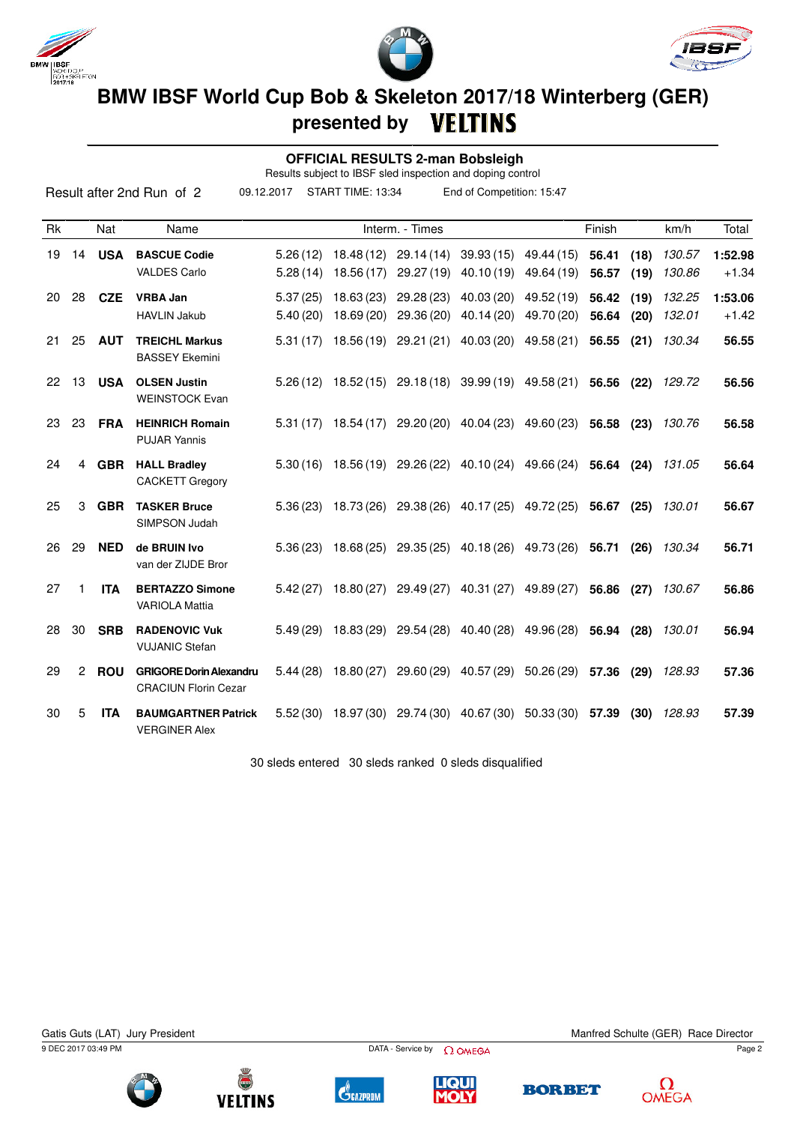





 **OFFICIAL RESULTS 2-man Bobsleigh**

Results subject to IBSF sled inspection and doping control

|           |    |            | Result after 2nd Run of 2                                     | 09.12.2017           | START TIME: 13:34                                             |                                             | End of Competition: 15:47        |                                     |                |              |                  |                    |
|-----------|----|------------|---------------------------------------------------------------|----------------------|---------------------------------------------------------------|---------------------------------------------|----------------------------------|-------------------------------------|----------------|--------------|------------------|--------------------|
| <b>Rk</b> |    | Nat        | Name                                                          |                      |                                                               | Interm. - Times                             |                                  |                                     | Finish         |              | km/h             | Total              |
| 19        | 14 | <b>USA</b> | <b>BASCUE Codie</b><br><b>VALDES Carlo</b>                    | 5.26(12)<br>5.28(14) | 18.48 (12)<br>18.56 (17)                                      | 29.14(14)<br>29.27 (19)                     | 40.10 (19)                       | 39.93 (15) 49.44 (15)<br>49.64 (19) | 56.41<br>56.57 | (18)<br>(19) | 130.57<br>130.86 | 1:52.98<br>$+1.34$ |
| 20        | 28 | <b>CZE</b> | <b>VRBA Jan</b><br><b>HAVLIN Jakub</b>                        | 5.37(25)<br>5.40(20) | 18.63 (23)<br>18.69 (20)                                      | 29.28 (23)<br>29.36 (20)                    | 40.03(20)<br>40.14 (20)          | 49.52 (19)<br>49.70 (20)            | 56.42<br>56.64 | (19)<br>(20) | 132.25<br>132.01 | 1:53.06<br>$+1.42$ |
| 21.       | 25 | <b>AUT</b> | <b>TREICHL Markus</b><br><b>BASSEY Ekemini</b>                | 5.31(17)             |                                                               | 18.56 (19) 29.21 (21)                       | 40.03 (20)                       | 49.58 (21)                          | 56.55          | (21)         | 130.34           | 56.55              |
| 22        | 13 | <b>USA</b> | <b>OLSEN Justin</b><br><b>WEINSTOCK Evan</b>                  | 5.26(12)             | 18.52 (15)                                                    |                                             | 29.18 (18) 39.99 (19) 49.58 (21) |                                     | 56.56          | (22)         | 129.72           | 56.56              |
| 23        | 23 | <b>FRA</b> | <b>HEINRICH Romain</b><br><b>PUJAR Yannis</b>                 | 5.31(17)             | 18.54 (17)                                                    |                                             | 29.20 (20) 40.04 (23)            | 49.60 (23)                          | 56.58 (23)     |              | 130.76           | 56.58              |
| 24        | 4  | <b>GBR</b> | <b>HALL Bradley</b><br><b>CACKETT Gregory</b>                 | 5.30(16)             |                                                               | 18.56 (19) 29.26 (22)                       |                                  | 40.10 (24) 49.66 (24)               | 56.64          | (24)         | 131.05           | 56.64              |
| 25        | 3  | <b>GBR</b> | <b>TASKER Bruce</b><br>SIMPSON Judah                          |                      | $5.36(23)$ 18.73(26) 29.38(26) 40.17(25) 49.72(25) 56.67 (25) |                                             |                                  |                                     |                |              | 130.01           | 56.67              |
| 26        | 29 | <b>NED</b> | de BRUIN Ivo<br>van der ZIJDE Bror                            | 5.36(23)             |                                                               | 18.68 (25) 29.35 (25)                       |                                  | 40.18 (26) 49.73 (26)               | 56.71          | (26)         | 130.34           | 56.71              |
| 27        | 1  | <b>ITA</b> | <b>BERTAZZO Simone</b><br><b>VARIOLA Mattia</b>               | 5.42(27)             | 18.80 (27)                                                    | 29.49 (27)                                  | 40.31 (27)                       | 49.89 (27)                          | 56.86          | (27)         | 130.67           | 56.86              |
| 28        | 30 | <b>SRB</b> | <b>RADENOVIC Vuk</b><br><b>VUJANIC Stefan</b>                 | 5.49(29)             | 18.83 (29)                                                    | 29.54 (28)                                  | 40.40 (28)                       | 49.96 (28)                          | 56.94 (28)     |              | 130.01           | 56.94              |
| 29        | 2  | <b>ROU</b> | <b>GRIGORE Dorin Alexandru</b><br><b>CRACIUN Florin Cezar</b> | 5.44(28)             | 18.80 (27)                                                    | 29.60 (29)                                  | 40.57 (29)                       | 50.26 (29)                          | 57.36          | (29)         | 128.93           | 57.36              |
| 30        | 5  | <b>ITA</b> | <b>BAUMGARTNER Patrick</b><br><b>VERGINER Alex</b>            | 5.52(30)             |                                                               | 18.97 (30) 29.74 (30) 40.67 (30) 50.33 (30) |                                  |                                     | 57.39          | (30)         | 128.93           | 57.39              |

30 sleds entered 30 sleds ranked 0 sleds disqualified

9 DEC 2017 03:49 PM Page 2 Gatis Guts (LAT) Jury President Manited Schulte (GER) Race Director







**C**GAZPROM





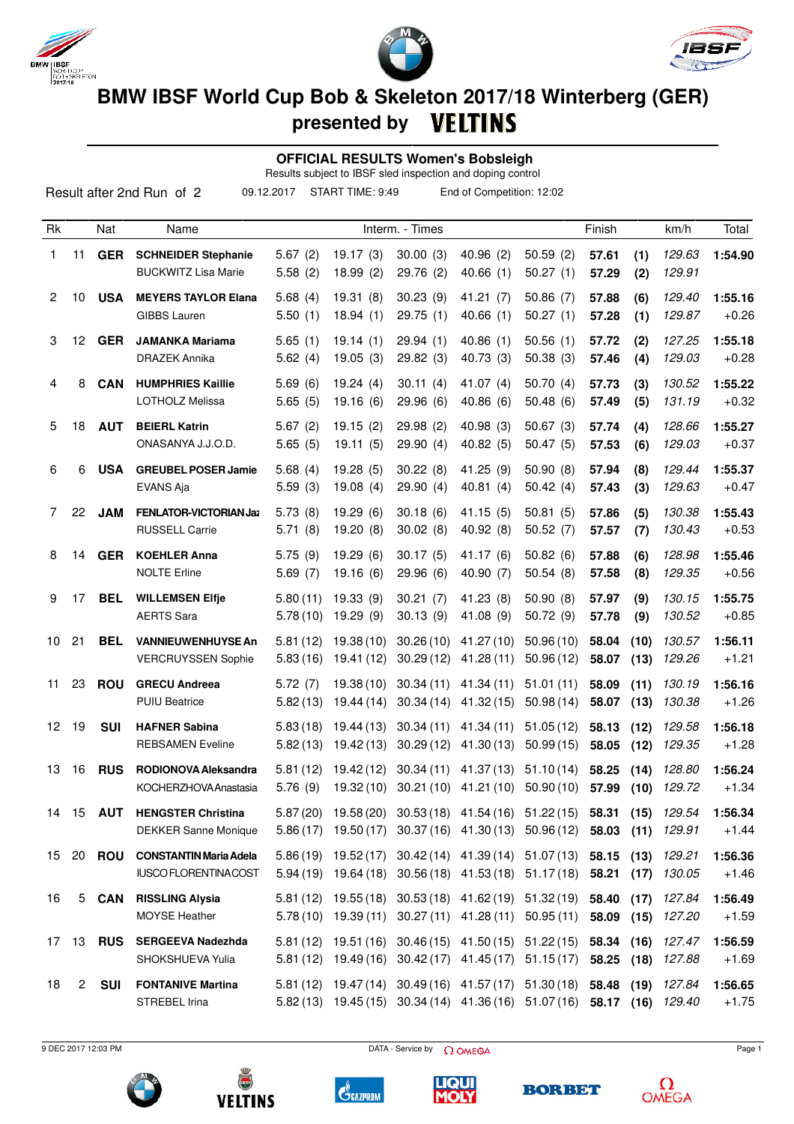





**presented by**

 **OFFICIAL RESULTS Women's Bobsleigh**

Results subject to IBSF sled inspection and doping control

| Result after 2nd Run of 2<br>09.12.2017<br>START TIME: 9:49<br>End of Competition: 12:02 |                  |                  |                                                          |                      |                         |                        |                                                                                                                                             |                        |                          |              |                  |                    |
|------------------------------------------------------------------------------------------|------------------|------------------|----------------------------------------------------------|----------------------|-------------------------|------------------------|---------------------------------------------------------------------------------------------------------------------------------------------|------------------------|--------------------------|--------------|------------------|--------------------|
| Rk                                                                                       |                  | Nat              | Name                                                     |                      |                         | Interm. - Times        |                                                                                                                                             |                        | Finish                   |              | km/h             | Total              |
| 1                                                                                        | 11               | <b>GER</b>       | <b>SCHNEIDER Stephanie</b><br><b>BUCKWITZ Lisa Marie</b> | 5.67(2)<br>5.58(2)   | 19.17(3)<br>18.99(2)    | 30.00(3)<br>29.76 (2)  | 40.96(2)<br>40.66(1)                                                                                                                        | 50.59(2)<br>50.27(1)   | 57.61<br>57.29           | (1)<br>(2)   | 129.63<br>129.91 | 1:54.90            |
| $\overline{2}$                                                                           | 10               | <b>USA</b>       | <b>MEYERS TAYLOR Elana</b><br><b>GIBBS Lauren</b>        | 5.68(4)<br>5.50(1)   | 19.31(8)<br>18.94(1)    | 30.23(9)<br>29.75(1)   | 41.21(7)<br>40.66(1)                                                                                                                        | 50.86(7)<br>50.27(1)   | 57.88<br>57.28           | (6)<br>(1)   | 129.40<br>129.87 | 1:55.16<br>$+0.26$ |
| 3                                                                                        | 12 <sup>12</sup> | <b>GER</b>       | <b>JAMANKA Mariama</b><br><b>DRAZEK Annika</b>           | 5.65(1)<br>5.62(4)   | 19.14(1)<br>19.05(3)    | 29.94(1)<br>29.82(3)   | 40.86(1)<br>40.73 (3)                                                                                                                       | 50.56(1)<br>50.38(3)   | 57.72<br>57.46           | (2)<br>(4)   | 127.25<br>129.03 | 1:55.18<br>$+0.28$ |
| 4                                                                                        | 8                | <b>CAN</b>       | <b>HUMPHRIES Kaillie</b><br>LOTHOLZ Melissa              | 5.69(6)<br>5.65(5)   | 19.24(4)<br>19.16(6)    | 30.11(4)<br>29.96 (6)  | 41.07 $(4)$<br>40.86(6)                                                                                                                     | 50.70(4)<br>50.48(6)   | 57.73<br>57.49           | (3)<br>(5)   | 130.52<br>131.19 | 1:55.22<br>$+0.32$ |
| 5                                                                                        | 18               | <b>AUT</b>       | <b>BEIERL Katrin</b><br>ONASANYA J.J.O.D.                | 5.67(2)<br>5.65(5)   | 19.15(2)<br>19.11(5)    | 29.98(2)<br>29.90(4)   | 40.98(3)<br>40.82(5)                                                                                                                        | 50.67(3)<br>50.47(5)   | 57.74<br>57.53           | (4)<br>(6)   | 128.66<br>129.03 | 1:55.27<br>$+0.37$ |
| 6                                                                                        | 6                | <b>USA</b>       | <b>GREUBEL POSER Jamie</b><br>EVANS Aja                  | 5.68(4)<br>5.59(3)   | 19.28(5)<br>19.08(4)    | 30.22(8)<br>29.90(4)   | 41.25 (9)<br>40.81(4)                                                                                                                       | 50.90(8)<br>50.42(4)   | 57.94<br>57.43           | (8)<br>(3)   | 129.44<br>129.63 | 1:55.37<br>$+0.47$ |
| 7                                                                                        | 22               | <b>JAM</b>       | <b>FENLATOR-VICTORIAN Jaz</b><br>RUSSELL Carrie          | 5.73(8)<br>5.71(8)   | 19.29(6)<br>19.20(8)    | 30.18(6)<br>30.02(8)   | 41.15(5)<br>40.92 (8)                                                                                                                       | 50.81(5)<br>50.52(7)   | 57.86<br>57.57           | (5)<br>(7)   | 130.38<br>130.43 | 1:55.43<br>$+0.53$ |
| 8                                                                                        | 14               | <b>GER</b>       | <b>KOEHLER Anna</b><br><b>NOLTE Erline</b>               | 5.75(9)<br>5.69(7)   | 19.29(6)<br>19.16(6)    | 30.17(5)<br>29.96 (6)  | 41.17 (6)<br>40.90(7)                                                                                                                       | 50.82(6)<br>50.54(8)   | 57.88<br>57.58           | (6)<br>(8)   | 128.98<br>129.35 | 1:55.46<br>$+0.56$ |
| 9                                                                                        | 17               | <b>BEL</b>       | <b>WILLEMSEN Elfje</b><br><b>AERTS Sara</b>              | 5.80(11)<br>5.78(10) | 19.33(9)<br>19.29 (9)   | 30.21(7)<br>30.13(9)   | 41.23 (8)<br>41.08 (9)                                                                                                                      | 50.90(8)<br>50.72 (9)  | 57.97<br>57.78           | (9)<br>(9)   | 130.15<br>130.52 | 1:55.75<br>$+0.85$ |
| 10                                                                                       | 21               | BEL              | <b>VANNIEUWENHUYSE An</b><br><b>VERCRUYSSEN Sophie</b>   | 5.81(12)<br>5.83(16) | 19.38(10)<br>19.41 (12) | 30.26(10)<br>30.29(12) | 41.27 (10)<br>41.28(11)                                                                                                                     | 50.96(10)<br>50.96(12) | 58.04<br>58.07           | (10)<br>(13) | 130.57<br>129.26 | 1:56.11<br>$+1.21$ |
| 11                                                                                       | 23               | <b>ROU</b>       | <b>GRECU Andreea</b><br><b>PUIU Beatrice</b>             | 5.72(7)<br>5.82(13)  | 19.38(10)<br>19.44(14)  | 30.34(11)<br>30.34(14) | 41.34 (11)<br>41.32 (15)                                                                                                                    | 51.01(11)<br>50.98(14) | 58.09<br>58.07           | (11)<br>(13) | 130.19<br>130.38 | 1:56.16<br>$+1.26$ |
| 12                                                                                       | 19               | <b>SUI</b>       | <b>HAFNER Sabina</b><br><b>REBSAMEN Eveline</b>          | 5.83(18)<br>5.82(13) | 19.44 (13)<br>19.42(13) | 30.34(11)<br>30.29(12) | 41.34 (11)<br>41.30(13)                                                                                                                     | 51.05(12)<br>50.99(15) | 58.13<br>58.05           | (12)<br>(12) | 129.58<br>129.35 | 1:56.18<br>$+1.28$ |
| 13                                                                                       | 16               | <b>RUS</b>       | RODIONOVA Aleksandra<br>KOCHERZHOVA Anastasia            | 5.81(12)<br>5.76(9)  |                         |                        | 19.42 (12) 30.34 (11) 41.37 (13) 51.10 (14)<br>19.32 (10) 30.21 (10) 41.21 (10) 50.90 (10) 57.99 (10) 129.72                                |                        | 58.25 (14)               |              | 128.80           | 1:56.24<br>$+1.34$ |
|                                                                                          |                  | 14 15 <b>AUT</b> | <b>HENGSTER Christina</b><br><b>DEKKER Sanne Monique</b> |                      |                         |                        | 5.87 (20) 19.58 (20) 30.53 (18) 41.54 (16) 51.22 (15) 58.31 (15)<br>5.86 (17) 19.50 (17) 30.37 (16) 41.30 (13) 50.96 (12) 58.03 (11)        |                        |                          |              | 129.54<br>129.91 | 1:56.34<br>$+1.44$ |
| 15                                                                                       |                  |                  | 20 ROU CONSTANTIN Maria Adela<br>IUSCO FLORENTINACOST    |                      |                         |                        | 5.86 (19) 19.52 (17) 30.42 (14) 41.39 (14) 51.07 (13) 58.15 (13)<br>5.94 (19) 19.64 (18) 30.56 (18) 41.53 (18) 51.17 (18) 58.21 (17)        |                        |                          |              | 129.21<br>130.05 | 1:56.36<br>$+1.46$ |
| 16                                                                                       |                  | 5 CAN            | <b>RISSLING Alysia</b><br>MOYSE Heather                  |                      |                         |                        | 5.81 (12) 19.55 (18) 30.53 (18) 41.62 (19) 51.32 (19)<br>$5.78(10)$ 19.39 (11) 30.27 (11) 41.28 (11) 50.95 (11)                             |                        | 58.40 (17)<br>58.09 (15) |              | 127.84<br>127.20 | 1:56.49<br>$+1.59$ |
| 17                                                                                       | 13               | <b>RUS</b>       | <b>SERGEEVA Nadezhda</b><br>SHOKSHUEVA Yulia             |                      |                         |                        | 5.81 (12) 19.51 (16) 30.46 (15) 41.50 (15) 51.22 (15) 58.34 (16) 127.47<br>5.81 (12) 19.49 (16) 30.42 (17) 41.45 (17) 51.15 (17) 58.25 (18) |                        |                          |              | 127.88           | 1:56.59<br>$+1.69$ |
| 18                                                                                       | $\overline{2}$   | <b>SUI</b>       | <b>FONTANIVE Martina</b><br>STREBEL Irina                |                      |                         |                        | 5.81 (12) 19.47 (14) 30.49 (16) 41.57 (17) 51.30 (18) 58.48 (19)<br>5.82 (13) 19.45 (15) 30.34 (14) 41.36 (16) 51.07 (16) 58.17 (16)        |                        |                          |              | 127.84<br>129.40 | 1:56.65<br>$+1.75$ |

9 DEC 2017 12:03 PM Page 1











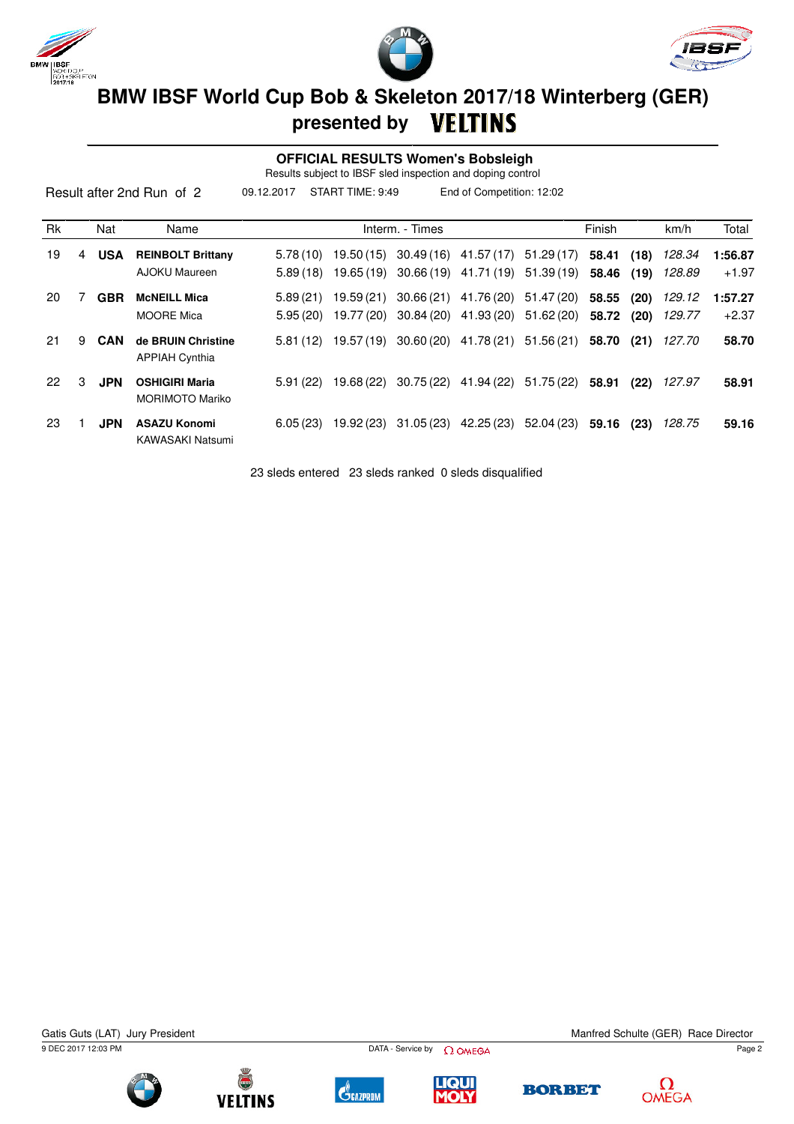





 **OFFICIAL RESULTS Women's Bobsleigh**

Results subject to IBSF sled inspection and doping control

|    |   |            | Result after 2nd Run of 2                       | 09.12.2017           | START TIME: 9:49         |                 | End of Competition: 12:02                      |                          |                     |              |                  |                    |
|----|---|------------|-------------------------------------------------|----------------------|--------------------------|-----------------|------------------------------------------------|--------------------------|---------------------|--------------|------------------|--------------------|
| Rk |   | Nat        | Name                                            |                      |                          | Interm. - Times |                                                |                          | Finish              |              | km/h             | Total              |
| 19 | 4 | <b>USA</b> | <b>REINBOLT Brittany</b><br>AJOKU Maureen       | 5.78(10)<br>5.89(18) | 19.50 (15)<br>19.65 (19) |                 | $30.49(16)$ 41.57(17)<br>30.66 (19) 41.71 (19) | 51.29 (17)<br>51.39 (19) | 58.41<br>58.46 (19) | (18)         | 128.34<br>128.89 | 1:56.87<br>$+1.97$ |
| 20 |   | <b>GBR</b> | <b>MCNEILL Mica</b><br><b>MOORE Mica</b>        | 5.89(21)<br>5.95(20) | 19.59 (21)<br>19.77 (20) | 30.66(21)       | 41.76 (20)<br>30.84 (20) 41.93 (20)            | 51.47 (20)<br>51.62 (20) | 58.55<br>58.72      | (20)<br>(20) | 129.12<br>129.77 | 1:57.27<br>$+2.37$ |
| 21 | 9 | <b>CAN</b> | de BRUIN Christine<br><b>APPIAH Cynthia</b>     | 5.81(12)             | 19.57 (19)               |                 | $30.60(20)$ 41.78 (21)                         | 51.56 (21)               | 58.70               | (21)         | 127.70           | 58.70              |
| 22 | 3 | <b>JPN</b> | <b>OSHIGIRI Maria</b><br><b>MORIMOTO Mariko</b> | 5.91(22)             | 19.68 (22)               | 30.75(22)       | 41.94 (22)                                     | 51.75(22)                | 58.91               | (22)         | 127.97           | 58.91              |
| 23 |   | <b>JPN</b> | <b>ASAZU Konomi</b><br><b>KAWASAKI Natsumi</b>  | 6.05(23)             | 19.92 (23)               | 31.05 (23)      | 42.25 (23)                                     | 52.04 (23)               | 59.16               | (23)         | 128.75           | 59.16              |

23 sleds entered 23 sleds ranked 0 sleds disqualified

9 DEC 2017 12:03 PM Page 2 Gatis Guts (LAT) Jury President Manifed Schulte (GER) Race Director











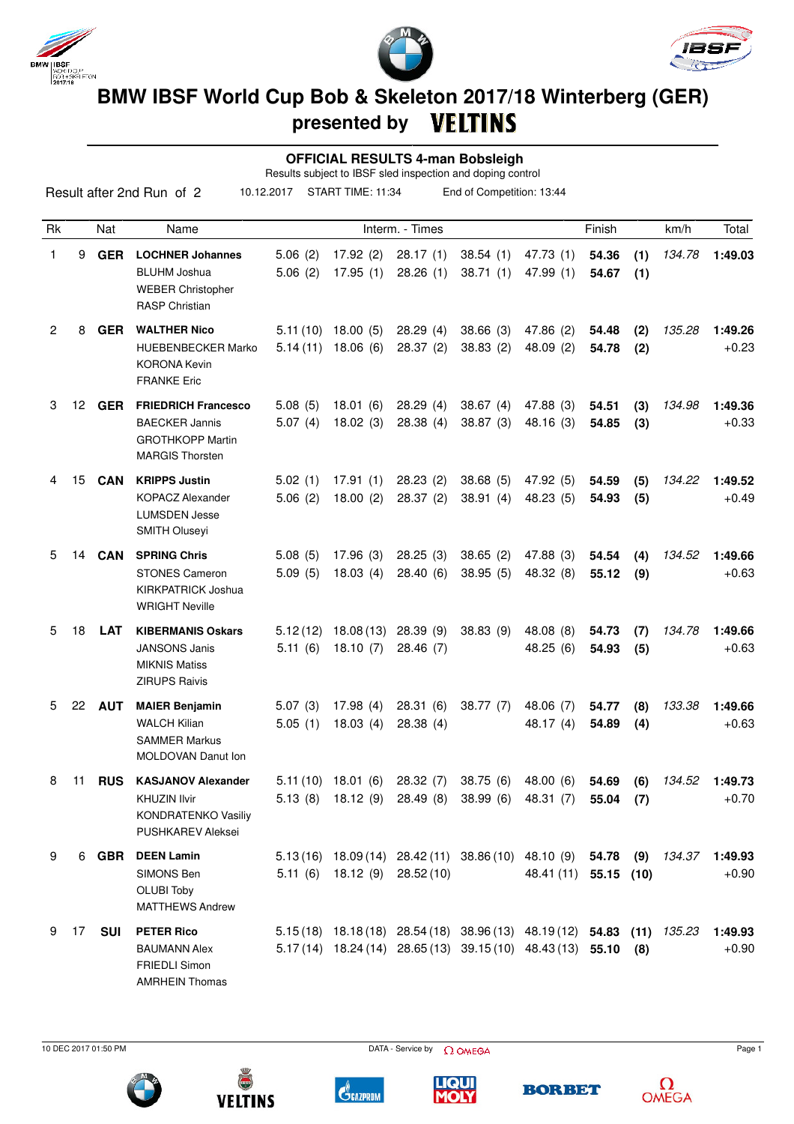

Result after 2nd Run of 2





## **BMW IBSF World Cup Bob & Skeleton 2017/18 Winterberg (GER) presented by**

 **OFFICIAL RESULTS 4-man Bobsleigh**

Results subject to IBSF sled inspection and doping control 10.12.2017 START TIME: 11:34 End of Competition: 13:44

| Rk |                 | Nat        | Name                                                                                                     |                      |                                  | Interm. - Times       |                                                                                                                                    |                        | Finish               |            | km/h   | Total              |
|----|-----------------|------------|----------------------------------------------------------------------------------------------------------|----------------------|----------------------------------|-----------------------|------------------------------------------------------------------------------------------------------------------------------------|------------------------|----------------------|------------|--------|--------------------|
| 1  | 9               | <b>GER</b> | <b>LOCHNER Johannes</b><br><b>BLUHM Joshua</b><br><b>WEBER Christopher</b><br><b>RASP Christian</b>      | 5.06(2)<br>5.06(2)   | 17.92(2)<br>17.95(1)             | 28.17(1)<br>28.26(1)  | 38.54(1)<br>38.71(1)                                                                                                               | 47.73 (1)<br>47.99 (1) | 54.36<br>54.67       | (1)<br>(1) | 134.78 | 1:49.03            |
| 2  | 8               | <b>GER</b> | <b>WALTHER Nico</b><br><b>HUEBENBECKER Marko</b><br><b>KORONA Kevin</b><br><b>FRANKE Eric</b>            | 5.11(10)<br>5.14(11) | 18.00(5)<br>18.06(6)             | 28.29(4)<br>28.37(2)  | 38.66(3)<br>38.83(2)                                                                                                               | 47.86 (2)<br>48.09(2)  | 54.48<br>54.78       | (2)<br>(2) | 135.28 | 1:49.26<br>$+0.23$ |
| 3  | 12 <sup>°</sup> | GER        | <b>FRIEDRICH Francesco</b><br><b>BAECKER Jannis</b><br><b>GROTHKOPP Martin</b><br><b>MARGIS Thorsten</b> | 5.08(5)<br>5.07(4)   | 18.01(6)<br>18.02(3)             | 28.29(4)<br>28.38(4)  | 38.67(4)<br>38.87(3)                                                                                                               | 47.88 (3)<br>48.16 (3) | 54.51<br>54.85       | (3)<br>(3) | 134.98 | 1:49.36<br>$+0.33$ |
| 4  | 15              | CAN        | <b>KRIPPS Justin</b><br><b>KOPACZ Alexander</b><br><b>LUMSDEN Jesse</b><br>SMITH Oluseyi                 | 5.02(1)<br>5.06(2)   | 17.91(1)<br>18.00(2)             | 28.23(2)<br>28.37(2)  | 38.68(5)<br>38.91(4)                                                                                                               | 47.92 (5)<br>48.23 (5) | 54.59<br>54.93       | (5)<br>(5) | 134.22 | 1:49.52<br>$+0.49$ |
| 5  | 14              | <b>CAN</b> | <b>SPRING Chris</b><br><b>STONES Cameron</b><br><b>KIRKPATRICK Joshua</b><br><b>WRIGHT Neville</b>       | 5.08(5)<br>5.09(5)   | 17.96(3)<br>18.03(4)             | 28.25(3)<br>28.40(6)  | 38.65(2)<br>38.95(5)                                                                                                               | 47.88 (3)<br>48.32 (8) | 54.54<br>55.12       | (4)<br>(9) | 134.52 | 1:49.66<br>$+0.63$ |
| 5  | 18              | <b>LAT</b> | <b>KIBERMANIS Oskars</b><br><b>JANSONS Janis</b><br><b>MIKNIS Matiss</b><br><b>ZIRUPS Raivis</b>         | 5.12(12)<br>5.11(6)  | 18.08(13)<br>18.10(7)            | 28.39(9)<br>28.46 (7) | 38.83(9)                                                                                                                           | 48.08 (8)<br>48.25 (6) | 54.73<br>54.93       | (7)<br>(5) | 134.78 | 1:49.66<br>$+0.63$ |
| 5  | 22              | <b>AUT</b> | <b>MAIER Benjamin</b><br><b>WALCH Kilian</b><br><b>SAMMER Markus</b><br><b>MOLDOVAN Danut Ion</b>        | 5.07(3)<br>5.05(1)   | 17.98(4)<br>18.03(4)             | 28.31(6)<br>28.38(4)  | 38.77(7)                                                                                                                           | 48.06 (7)<br>48.17 (4) | 54.77<br>54.89       | (8)<br>(4) | 133.38 | 1:49.66<br>$+0.63$ |
| 8  | 11              | <b>RUS</b> | <b>KASJANOV Alexander</b><br>KHUZIN Ilvir<br><b>KONDRATENKO Vasiliy</b><br><b>PUSHKAREV Aleksei</b>      | 5.11(10)             | 18.01(6)                         | 28.32(7)              | 38.75(6)<br>5.13 (8) 18.12 (9) 28.49 (8) 38.99 (6) 48.31 (7)                                                                       | 48.00 (6)              | 54.69<br>$55.04$ (7) | (6)        | 134.52 | 1:49.73<br>$+0.70$ |
| 9  |                 |            | 6 GBR DEEN Lamin<br>SIMONS Ben<br><b>OLUBI Toby</b><br><b>MATTHEWS Andrew</b>                            |                      | $5.11(6)$ $18.12(9)$ $28.52(10)$ |                       | 5.13 (16) 18.09 (14) 28.42 (11) 38.86 (10) 48.10 (9) 54.78 (9) 134.37                                                              | 48.41 (11) 55.15 (10)  |                      |            |        | 1:49.93<br>$+0.90$ |
| 9  | 17              | SUI        | <b>PETER Rico</b><br><b>BAUMANN Alex</b><br><b>FRIEDLI Simon</b><br><b>AMRHEIN Thomas</b>                |                      |                                  |                       | 5.15(18) 18.18(18) 28.54(18) 38.96(13) 48.19(12) 54.83 (11) 135.23<br>5.17(14) $18.24(14)$ 28.65(13) 39.15(10) 48.43(13) 55.10 (8) |                        |                      |            |        | 1:49.93<br>$+0.90$ |



**VELTINS** 





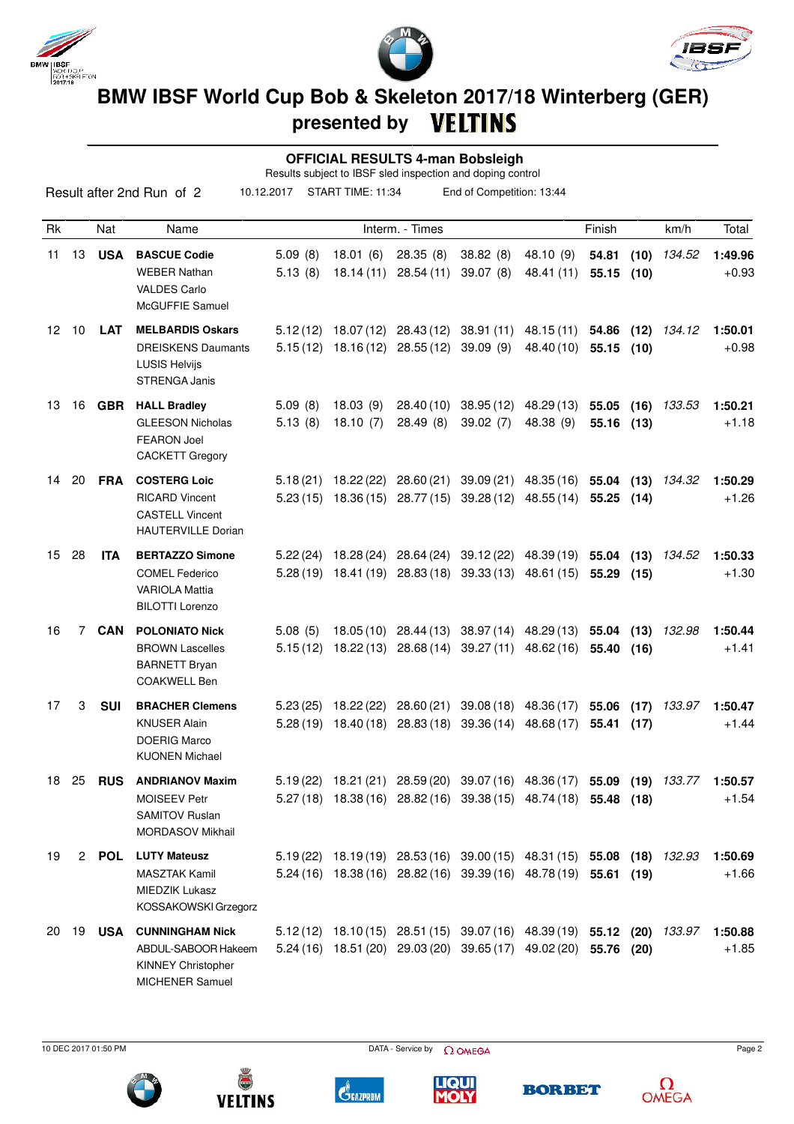





 **OFFICIAL RESULTS 4-man Bobsleigh**

Results subject to IBSF sled inspection and doping control

|    |       |               | Result after 2nd Run of 2                                                                            | 10.12.2017         | START TIME: 11:34    |                                                                        | End of Competition: 13:44                      |                                                                                                                                                     |                          |              |        |                    |
|----|-------|---------------|------------------------------------------------------------------------------------------------------|--------------------|----------------------|------------------------------------------------------------------------|------------------------------------------------|-----------------------------------------------------------------------------------------------------------------------------------------------------|--------------------------|--------------|--------|--------------------|
| Rk |       | Nat           | Name                                                                                                 |                    |                      | Interm. - Times                                                        |                                                |                                                                                                                                                     | Finish                   |              | km/h   | Total              |
| 11 | 13    | <b>USA</b>    | <b>BASCUE Codie</b><br><b>WEBER Nathan</b><br><b>VALDES Carlo</b><br>McGUFFIE Samuel                 | 5.09(8)<br>5.13(8) | 18.01(6)             | 28.35(8)<br>18.14 (11) 28.54 (11)                                      | 38.82 (8)<br>39.07(8)                          | 48.10 (9)<br>48.41 (11)                                                                                                                             | 54.81<br>55.15(10)       | (10)         | 134.52 | 1:49.96<br>$+0.93$ |
| 12 | 10    | <b>LAT</b>    | <b>MELBARDIS Oskars</b><br><b>DREISKENS Daumants</b><br><b>LUSIS Helvijs</b><br><b>STRENGA Janis</b> |                    |                      | $5.12(12)$ 18.07 (12) 28.43 (12)<br>$5.15(12)$ $18.16(12)$ $28.55(12)$ | 39.09(9)                                       | 38.91 (11) 48.15 (11)<br>48.40 (10)                                                                                                                 | 54.86 (12)<br>55.15 (10) |              | 134.12 | 1:50.01<br>$+0.98$ |
| 13 |       | 16 <b>GBR</b> | <b>HALL Bradley</b><br><b>GLEESON Nicholas</b><br><b>FEARON Joel</b><br><b>CACKETT Gregory</b>       | 5.09(8)<br>5.13(8) | 18.03(9)<br>18.10(7) | 28.40 (10)<br>28.49(8)                                                 | 39.02(7)                                       | 38.95 (12) 48.29 (13)<br>48.38 (9)                                                                                                                  | 55.05<br>55.16 (13)      | (16)         | 133.53 | 1:50.21<br>$+1.18$ |
| 14 | 20    | <b>FRA</b>    | <b>COSTERG Loic</b><br><b>RICARD Vincent</b><br><b>CASTELL Vincent</b><br><b>HAUTERVILLE Dorian</b>  |                    |                      |                                                                        | $5.23(15)$ $18.36(15)$ $28.77(15)$ $39.28(12)$ | 5.18 (21) 18.22 (22) 28.60 (21) 39.09 (21) 48.35 (16) 55.04 (13)<br>48.55 (14)                                                                      | 55.25 (14)               |              | 134.32 | 1:50.29<br>$+1.26$ |
| 15 | 28    | <b>ITA</b>    | <b>BERTAZZO Simone</b><br><b>COMEL Federico</b><br><b>VARIOLA Mattia</b><br><b>BILOTTI Lorenzo</b>   |                    |                      | $5.22(24)$ 18.28 (24) 28.64 (24)                                       |                                                | 39.12 (22) 48.39 (19) 55.04<br>5.28 (19) 18.41 (19) 28.83 (18) 39.33 (13) 48.61 (15)                                                                | 55.29                    | (13)<br>(15) | 134.52 | 1:50.33<br>$+1.30$ |
| 16 | 7     | <b>CAN</b>    | <b>POLONIATO Nick</b><br><b>BROWN Lascelles</b><br><b>BARNETT Bryan</b><br><b>COAKWELL Ben</b>       | 5.08(5)            |                      |                                                                        | $5.15(12)$ $18.22(13)$ $28.68(14)$ $39.27(11)$ | 18.05 (10) 28.44 (13) 38.97 (14) 48.29 (13) 55.04 (13)<br>48.62 (16)                                                                                | 55.40 (16)               |              | 132.98 | 1:50.44<br>$+1.41$ |
| 17 | 3     | <b>SUI</b>    | <b>BRACHER Clemens</b><br>KNUSER Alain<br><b>DOERIG Marco</b><br><b>KUONEN Michael</b>               | 5.23(25)           | 18.22 (22)           | 28.60 (21)<br>$5.28(19)$ 18.40(18) 28.83(18)                           | 39.36 (14)                                     | 39.08 (18) 48.36 (17)<br>48.68 (17)                                                                                                                 | 55.06<br>55.41           | (17)<br>(17) | 133.97 | 1:50.47<br>$+1.44$ |
|    | 18 25 | <b>RUS</b>    | <b>ANDRIANOV Maxim</b><br>MOISEEV Petr<br><b>SAMITOV Ruslan</b><br><b>MORDASOV Mikhail</b>           |                    |                      |                                                                        |                                                | 5.19 (22) 18.21 (21) 28.59 (20) 39.07 (16) 48.36 (17) 55.09 (19) 133.77 1:50.57<br>5.27 (18) 18.38 (16) 28.82 (16) 39.38 (15) 48.74 (18) 55.48 (18) |                          |              |        | $+1.54$            |
| 19 |       |               | 2 POL LUTY Mateusz<br><b>MASZTAK Kamil</b><br>MIEDZIK Lukasz<br>KOSSAKOWSKI Grzegorz                 |                    |                      |                                                                        |                                                | 5.19 (22) 18.19 (19) 28.53 (16) 39.00 (15) 48.31 (15) 55.08 (18) 132.93<br>5.24 (16) 18.38 (16) 28.82 (16) 39.39 (16) 48.78 (19) 55.61 (19)         |                          |              |        | 1:50.69<br>$+1.66$ |
|    |       | 20 19 USA     | <b>CUNNINGHAM Nick</b><br>ABDUL-SABOOR Hakeem<br><b>KINNEY Christopher</b><br>MICHENER Samuel        |                    |                      |                                                                        |                                                | 5.12 (12) 18.10 (15) 28.51 (15) 39.07 (16) 48.39 (19) 55.12 (20) 133.97<br>5.24 (16) 18.51 (20) 29.03 (20) 39.65 (17) 49.02 (20) 55.76 (20)         |                          |              |        | 1:50.88<br>$+1.85$ |



**VELTINS**